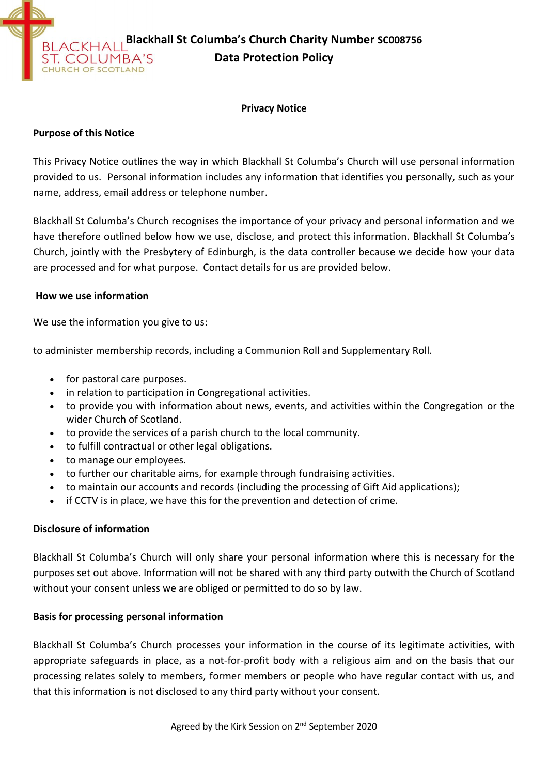

#### **Privacy Notice**

### **Purpose of this Notice**

This Privacy Notice outlines the way in which Blackhall St Columba's Church will use personal information provided to us. Personal information includes any information that identifies you personally, such as your name, address, email address or telephone number.

Blackhall St Columba's Church recognises the importance of your privacy and personal information and we have therefore outlined below how we use, disclose, and protect this information. Blackhall St Columba's Church, jointly with the Presbytery of Edinburgh, is the data controller because we decide how your data are processed and for what purpose. Contact details for us are provided below.

### **How we use information**

We use the information you give to us:

to administer membership records, including a Communion Roll and Supplementary Roll.

- for pastoral care purposes.
- in relation to participation in Congregational activities.
- to provide you with information about news, events, and activities within the Congregation or the wider Church of Scotland.
- to provide the services of a parish church to the local community.
- to fulfill contractual or other legal obligations.
- to manage our employees.
- to further our charitable aims, for example through fundraising activities.
- to maintain our accounts and records (including the processing of Gift Aid applications);
- if CCTV is in place, we have this for the prevention and detection of crime.

## **Disclosure of information**

Blackhall St Columba's Church will only share your personal information where this is necessary for the purposes set out above. Information will not be shared with any third party outwith the Church of Scotland without your consent unless we are obliged or permitted to do so by law.

## **Basis for processing personal information**

Blackhall St Columba's Church processes your information in the course of its legitimate activities, with appropriate safeguards in place, as a not-for-profit body with a religious aim and on the basis that our processing relates solely to members, former members or people who have regular contact with us, and that this information is not disclosed to any third party without your consent.